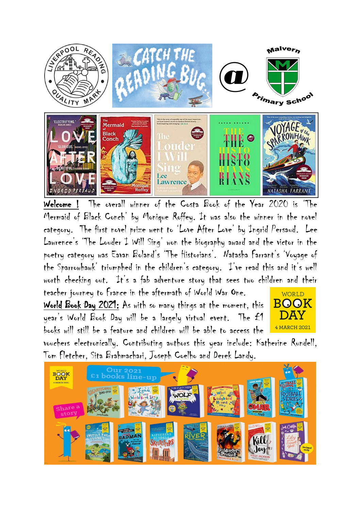

Welcome ! The overall winner of the Costa Book of the Year 2020 is 'The Mermaid of Black Conch' by Monique Roffey. It was also the winner in the novel category. The first novel prize went to 'Love After Love' by Ingrid Persaud. Lee Lawrence's 'The Louder I Will Sing' won the biography award and the victor in the poetry category was Eavan Boland's 'The Historians'. Natasha Farrant's 'Voyage of the Sparrowhawk' triumphed in the children's category. I've read this and it's well worth checking out. It's a fab adventure story that sees two children and their teacher journey to France in the aftermath of World War One.

World Book Day 2021: As with so many things at the moment, this year's World Book Day will be a largely virtual event. The £1 books will still be a feature and children will be able to access the



vouchers electronically. Contributing authors this year include: Katherine Rundell, Tom Fletcher, Sita Brahmachari, Joseph Coelho and Derek Landy.